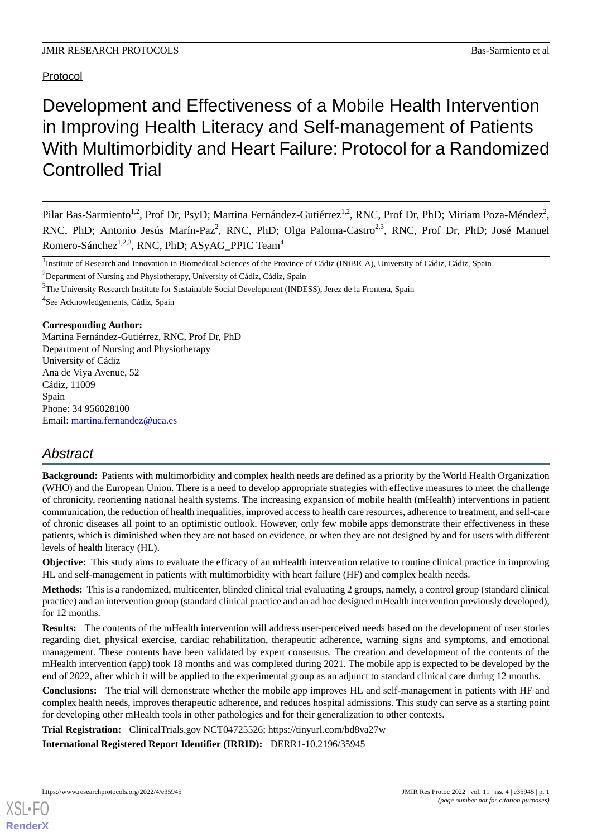## Protocol

# Development and Effectiveness of a Mobile Health Intervention in Improving Health Literacy and Self-management of Patients With Multimorbidity and Heart Failure: Protocol for a Randomized Controlled Trial

Pilar Bas-Sarmiento<sup>1,2</sup>, Prof Dr, PsyD; Martina Fernández-Gutiérrez<sup>1,2</sup>, RNC, Prof Dr, PhD; Miriam Poza-Méndez<sup>2</sup>, RNC, PhD; Antonio Jesús Marín-Paz<sup>2</sup>, RNC, PhD; Olga Paloma-Castro<sup>2,3</sup>, RNC, Prof Dr, PhD; José Manuel Romero-Sánchez<sup>1,2,3</sup>, RNC, PhD; ASyAG\_PPIC Team<sup>4</sup>

<sup>1</sup>Institute of Research and Innovation in Biomedical Sciences of the Province of Cádiz (INiBICA), University of Cádiz, Cádiz, Spain

<sup>2</sup>Department of Nursing and Physiotherapy, University of Cádiz, Cádiz, Spain

<sup>4</sup>See Acknowledgements, Cádiz, Spain

#### **Corresponding Author:**

Martina Fernández-Gutiérrez, RNC, Prof Dr, PhD Department of Nursing and Physiotherapy University of Cádiz Ana de Viya Avenue, 52 Cádiz, 11009 Spain Phone: 34 956028100 Email: [martina.fernandez@uca.es](mailto:martina.fernandez@uca.es)

## *Abstract*

**Background:** Patients with multimorbidity and complex health needs are defined as a priority by the World Health Organization (WHO) and the European Union. There is a need to develop appropriate strategies with effective measures to meet the challenge of chronicity, reorienting national health systems. The increasing expansion of mobile health (mHealth) interventions in patient communication, the reduction of health inequalities, improved access to health care resources, adherence to treatment, and self-care of chronic diseases all point to an optimistic outlook. However, only few mobile apps demonstrate their effectiveness in these patients, which is diminished when they are not based on evidence, or when they are not designed by and for users with different levels of health literacy (HL).

**Objective:** This study aims to evaluate the efficacy of an mHealth intervention relative to routine clinical practice in improving HL and self-management in patients with multimorbidity with heart failure (HF) and complex health needs.

**Methods:** This is a randomized, multicenter, blinded clinical trial evaluating 2 groups, namely, a control group (standard clinical practice) and an intervention group (standard clinical practice and an ad hoc designed mHealth intervention previously developed), for 12 months.

**Results:** The contents of the mHealth intervention will address user-perceived needs based on the development of user stories regarding diet, physical exercise, cardiac rehabilitation, therapeutic adherence, warning signs and symptoms, and emotional management. These contents have been validated by expert consensus. The creation and development of the contents of the mHealth intervention (app) took 18 months and was completed during 2021. The mobile app is expected to be developed by the end of 2022, after which it will be applied to the experimental group as an adjunct to standard clinical care during 12 months.

**Conclusions:** The trial will demonstrate whether the mobile app improves HL and self-management in patients with HF and complex health needs, improves therapeutic adherence, and reduces hospital admissions. This study can serve as a starting point for developing other mHealth tools in other pathologies and for their generalization to other contexts.

**Trial Registration:** ClinicalTrials.gov NCT04725526; https://tinyurl.com/bd8va27w

**International Registered Report Identifier (IRRID):** DERR1-10.2196/35945

<sup>&</sup>lt;sup>3</sup>The University Research Institute for Sustainable Social Development (INDESS), Jerez de la Frontera, Spain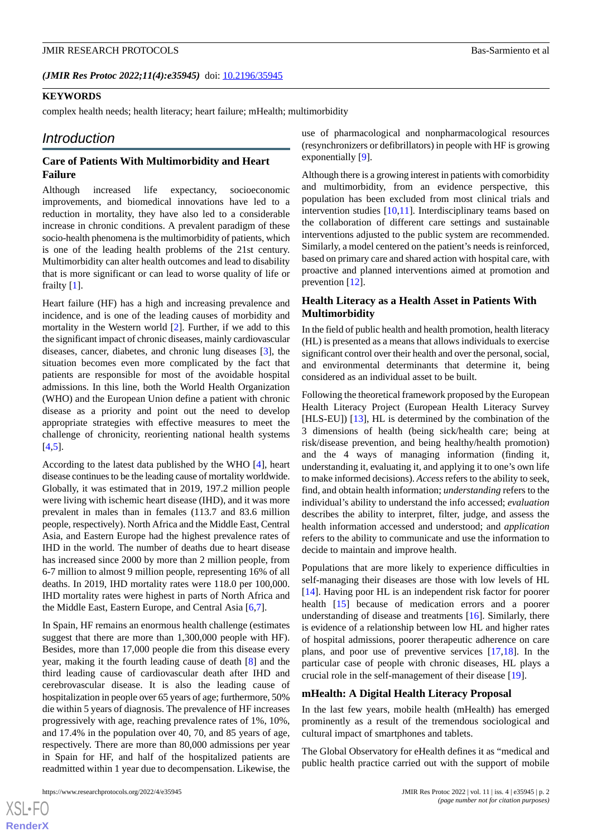#### *(JMIR Res Protoc 2022;11(4):e35945)* doi:  $10.2196/35945$

#### **KEYWORDS**

complex health needs; health literacy; heart failure; mHealth; multimorbidity

#### *Introduction*

#### **Care of Patients With Multimorbidity and Heart Failure**

Although increased life expectancy, socioeconomic improvements, and biomedical innovations have led to a reduction in mortality, they have also led to a considerable increase in chronic conditions. A prevalent paradigm of these socio-health phenomena is the multimorbidity of patients, which is one of the leading health problems of the 21st century. Multimorbidity can alter health outcomes and lead to disability that is more significant or can lead to worse quality of life or frailty [[1\]](#page-9-0).

Heart failure (HF) has a high and increasing prevalence and incidence, and is one of the leading causes of morbidity and mortality in the Western world [[2\]](#page-9-1). Further, if we add to this the significant impact of chronic diseases, mainly cardiovascular diseases, cancer, diabetes, and chronic lung diseases [[3\]](#page-9-2), the situation becomes even more complicated by the fact that patients are responsible for most of the avoidable hospital admissions. In this line, both the World Health Organization (WHO) and the European Union define a patient with chronic disease as a priority and point out the need to develop appropriate strategies with effective measures to meet the challenge of chronicity, reorienting national health systems [[4](#page-9-3)[,5](#page-9-4)].

According to the latest data published by the WHO [[4\]](#page-9-3), heart disease continues to be the leading cause of mortality worldwide. Globally, it was estimated that in 2019, 197.2 million people were living with ischemic heart disease (IHD), and it was more prevalent in males than in females (113.7 and 83.6 million people, respectively). North Africa and the Middle East, Central Asia, and Eastern Europe had the highest prevalence rates of IHD in the world. The number of deaths due to heart disease has increased since 2000 by more than 2 million people, from 6-7 million to almost 9 million people, representing 16% of all deaths. In 2019, IHD mortality rates were 118.0 per 100,000. IHD mortality rates were highest in parts of North Africa and the Middle East, Eastern Europe, and Central Asia [\[6](#page-9-5),[7\]](#page-10-0).

In Spain, HF remains an enormous health challenge (estimates suggest that there are more than 1,300,000 people with HF). Besides, more than 17,000 people die from this disease every year, making it the fourth leading cause of death [[8\]](#page-10-1) and the third leading cause of cardiovascular death after IHD and cerebrovascular disease. It is also the leading cause of hospitalization in people over 65 years of age; furthermore, 50% die within 5 years of diagnosis. The prevalence of HF increases progressively with age, reaching prevalence rates of 1%, 10%, and 17.4% in the population over 40, 70, and 85 years of age, respectively. There are more than 80,000 admissions per year in Spain for HF, and half of the hospitalized patients are readmitted within 1 year due to decompensation. Likewise, the use of pharmacological and nonpharmacological resources (resynchronizers or defibrillators) in people with HF is growing exponentially [[9\]](#page-10-2).

Although there is a growing interest in patients with comorbidity and multimorbidity, from an evidence perspective, this population has been excluded from most clinical trials and intervention studies  $[10,11]$  $[10,11]$  $[10,11]$ . Interdisciplinary teams based on the collaboration of different care settings and sustainable interventions adjusted to the public system are recommended. Similarly, a model centered on the patient's needs is reinforced, based on primary care and shared action with hospital care, with proactive and planned interventions aimed at promotion and prevention [[12\]](#page-10-5).

#### **Health Literacy as a Health Asset in Patients With Multimorbidity**

In the field of public health and health promotion, health literacy (HL) is presented as a means that allows individuals to exercise significant control over their health and over the personal, social, and environmental determinants that determine it, being considered as an individual asset to be built.

Following the theoretical framework proposed by the European Health Literacy Project (European Health Literacy Survey [HLS-EU]) [[13\]](#page-10-6), HL is determined by the combination of the 3 dimensions of health (being sick/health care; being at risk/disease prevention, and being healthy/health promotion) and the 4 ways of managing information (finding it, understanding it, evaluating it, and applying it to one's own life to make informed decisions). *Access*refers to the ability to seek, find, and obtain health information; *understanding* refers to the individual's ability to understand the info accessed; *evaluation* describes the ability to interpret, filter, judge, and assess the health information accessed and understood; and *application* refers to the ability to communicate and use the information to decide to maintain and improve health.

Populations that are more likely to experience difficulties in self-managing their diseases are those with low levels of HL [[14\]](#page-10-7). Having poor HL is an independent risk factor for poorer health [\[15](#page-10-8)] because of medication errors and a poorer understanding of disease and treatments [[16\]](#page-10-9). Similarly, there is evidence of a relationship between low HL and higher rates of hospital admissions, poorer therapeutic adherence on care plans, and poor use of preventive services [[17](#page-10-10)[,18](#page-10-11)]. In the particular case of people with chronic diseases, HL plays a crucial role in the self-management of their disease [\[19](#page-10-12)].

#### **mHealth: A Digital Health Literacy Proposal**

In the last few years, mobile health (mHealth) has emerged prominently as a result of the tremendous sociological and cultural impact of smartphones and tablets.

The Global Observatory for eHealth defines it as "medical and public health practice carried out with the support of mobile

 $XS$  $\cdot$ FC **[RenderX](http://www.renderx.com/)**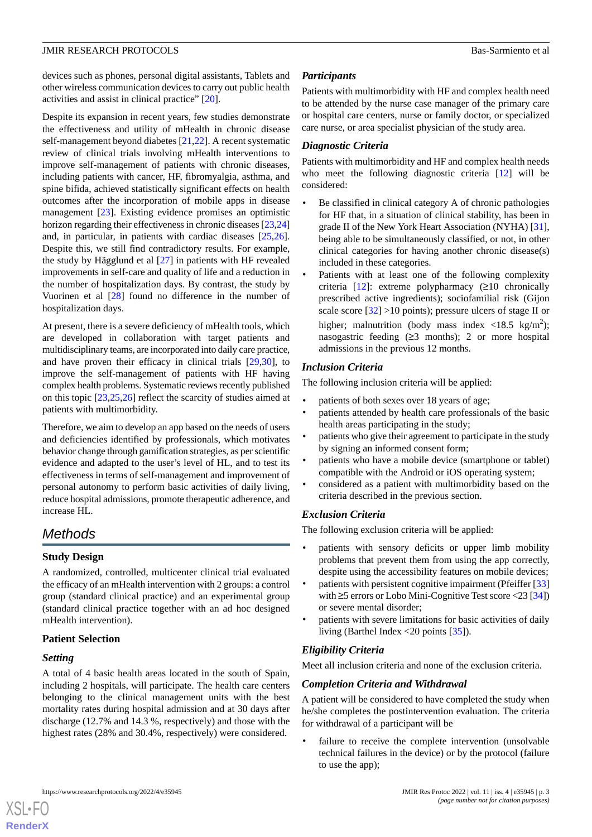devices such as phones, personal digital assistants, Tablets and other wireless communication devices to carry out public health activities and assist in clinical practice" [\[20](#page-10-13)].

Despite its expansion in recent years, few studies demonstrate the effectiveness and utility of mHealth in chronic disease self-management beyond diabetes [\[21](#page-10-14),[22\]](#page-10-15). A recent systematic review of clinical trials involving mHealth interventions to improve self-management of patients with chronic diseases, including patients with cancer, HF, fibromyalgia, asthma, and spine bifida, achieved statistically significant effects on health outcomes after the incorporation of mobile apps in disease management [\[23](#page-10-16)]. Existing evidence promises an optimistic horizon regarding their effectiveness in chronic diseases [\[23](#page-10-16)[,24](#page-10-17)] and, in particular, in patients with cardiac diseases [\[25](#page-10-18),[26\]](#page-11-0). Despite this, we still find contradictory results. For example, the study by Hägglund et al [[27\]](#page-11-1) in patients with HF revealed improvements in self-care and quality of life and a reduction in the number of hospitalization days. By contrast, the study by Vuorinen et al [[28\]](#page-11-2) found no difference in the number of hospitalization days.

At present, there is a severe deficiency of mHealth tools, which are developed in collaboration with target patients and multidisciplinary teams, are incorporated into daily care practice, and have proven their efficacy in clinical trials [[29](#page-11-3)[,30](#page-11-4)], to improve the self-management of patients with HF having complex health problems. Systematic reviews recently published on this topic [\[23](#page-10-16),[25,](#page-10-18)[26](#page-11-0)] reflect the scarcity of studies aimed at patients with multimorbidity.

Therefore, we aim to develop an app based on the needs of users and deficiencies identified by professionals, which motivates behavior change through gamification strategies, as per scientific evidence and adapted to the user's level of HL, and to test its effectiveness in terms of self-management and improvement of personal autonomy to perform basic activities of daily living, reduce hospital admissions, promote therapeutic adherence, and increase HL.

## *Methods*

#### **Study Design**

A randomized, controlled, multicenter clinical trial evaluated the efficacy of an mHealth intervention with 2 groups: a control group (standard clinical practice) and an experimental group (standard clinical practice together with an ad hoc designed mHealth intervention).

#### **Patient Selection**

#### *Setting*

A total of 4 basic health areas located in the south of Spain, including 2 hospitals, will participate. The health care centers belonging to the clinical management units with the best mortality rates during hospital admission and at 30 days after discharge (12.7% and 14.3 %, respectively) and those with the highest rates (28% and 30.4%, respectively) were considered.

#### *Participants*

Patients with multimorbidity with HF and complex health need to be attended by the nurse case manager of the primary care or hospital care centers, nurse or family doctor, or specialized care nurse, or area specialist physician of the study area.

### *Diagnostic Criteria*

Patients with multimorbidity and HF and complex health needs who meet the following diagnostic criteria [[12\]](#page-10-5) will be considered:

- Be classified in clinical category A of chronic pathologies for HF that, in a situation of clinical stability, has been in grade II of the New York Heart Association (NYHA) [[31\]](#page-11-5), being able to be simultaneously classified, or not, in other clinical categories for having another chronic disease(s) included in these categories.
- Patients with at least one of the following complexity criteria  $[12]$  $[12]$ : extreme polypharmacy  $(≥10$  chronically prescribed active ingredients); sociofamilial risk (Gijon scale score  $\lceil 32 \rceil$  >10 points); pressure ulcers of stage II or higher; malnutrition (body mass index <18.5 kg/m<sup>2</sup>); nasogastric feeding  $(≥3$  months); 2 or more hospital admissions in the previous 12 months.

#### *Inclusion Criteria*

The following inclusion criteria will be applied:

- patients of both sexes over 18 years of age;
- patients attended by health care professionals of the basic health areas participating in the study;
- patients who give their agreement to participate in the study by signing an informed consent form;
- patients who have a mobile device (smartphone or tablet) compatible with the Android or iOS operating system;
- considered as a patient with multimorbidity based on the criteria described in the previous section.

#### *Exclusion Criteria*

The following exclusion criteria will be applied:

- patients with sensory deficits or upper limb mobility problems that prevent them from using the app correctly, despite using the accessibility features on mobile devices;
- patients with persistent cognitive impairment (Pfeiffer [\[33](#page-11-7)] with ≥5 errors or Lobo Mini-Cognitive Test score <23 [\[34](#page-11-8)]) or severe mental disorder;
- patients with severe limitations for basic activities of daily living (Barthel Index  $\langle 20 \text{ points } [35] \rangle$  $\langle 20 \text{ points } [35] \rangle$  $\langle 20 \text{ points } [35] \rangle$ .

#### *Eligibility Criteria*

Meet all inclusion criteria and none of the exclusion criteria.

#### *Completion Criteria and Withdrawal*

A patient will be considered to have completed the study when he/she completes the postintervention evaluation. The criteria for withdrawal of a participant will be

• failure to receive the complete intervention (unsolvable technical failures in the device) or by the protocol (failure to use the app);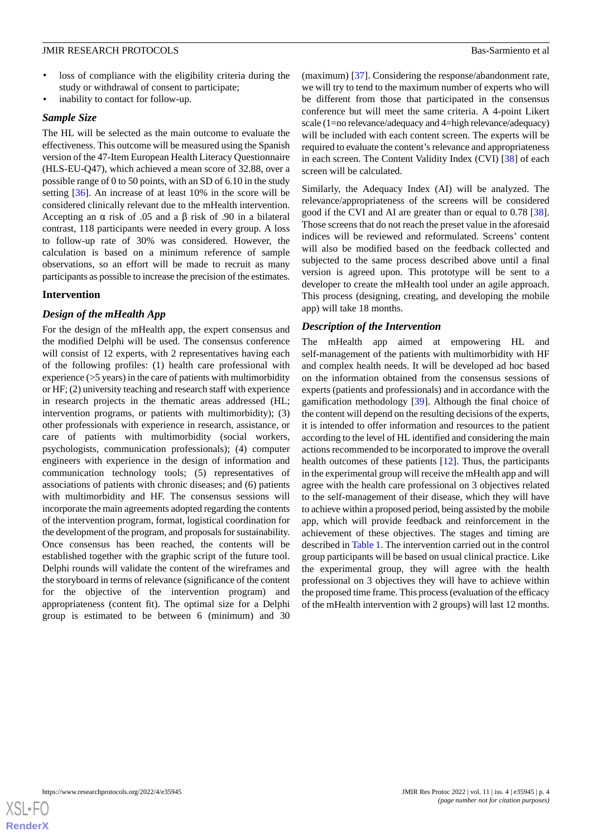- loss of compliance with the eligibility criteria during the study or withdrawal of consent to participate;
- inability to contact for follow-up.

#### *Sample Size*

The HL will be selected as the main outcome to evaluate the effectiveness. This outcome will be measured using the Spanish version of the 47-Item European Health Literacy Questionnaire (HLS-EU-Q47), which achieved a mean score of 32.88, over a possible range of 0 to 50 points, with an SD of 6.10 in the study setting [[36\]](#page-11-10). An increase of at least 10% in the score will be considered clinically relevant due to the mHealth intervention. Accepting an α risk of .05 and a β risk of .90 in a bilateral contrast, 118 participants were needed in every group. A loss to follow-up rate of 30% was considered. However, the calculation is based on a minimum reference of sample observations, so an effort will be made to recruit as many participants as possible to increase the precision of the estimates.

### **Intervention**

#### *Design of the mHealth App*

For the design of the mHealth app, the expert consensus and the modified Delphi will be used. The consensus conference will consist of 12 experts, with 2 representatives having each of the following profiles: (1) health care professional with experience (>5 years) in the care of patients with multimorbidity or HF; (2) university teaching and research staff with experience in research projects in the thematic areas addressed (HL; intervention programs, or patients with multimorbidity); (3) other professionals with experience in research, assistance, or care of patients with multimorbidity (social workers, psychologists, communication professionals); (4) computer engineers with experience in the design of information and communication technology tools; (5) representatives of associations of patients with chronic diseases; and (6) patients with multimorbidity and HF. The consensus sessions will incorporate the main agreements adopted regarding the contents of the intervention program, format, logistical coordination for the development of the program, and proposals for sustainability. Once consensus has been reached, the contents will be established together with the graphic script of the future tool. Delphi rounds will validate the content of the wireframes and the storyboard in terms of relevance (significance of the content for the objective of the intervention program) and appropriateness (content fit). The optimal size for a Delphi group is estimated to be between 6 (minimum) and 30

(maximum) [[37\]](#page-11-11). Considering the response/abandonment rate, we will try to tend to the maximum number of experts who will be different from those that participated in the consensus conference but will meet the same criteria. A 4-point Likert scale (1=no relevance/adequacy and 4=high relevance/adequacy) will be included with each content screen. The experts will be required to evaluate the content's relevance and appropriateness in each screen. The Content Validity Index (CVI) [[38\]](#page-11-12) of each screen will be calculated.

Similarly, the Adequacy Index (AI) will be analyzed. The relevance/appropriateness of the screens will be considered good if the CVI and AI are greater than or equal to 0.78 [[38\]](#page-11-12). Those screens that do not reach the preset value in the aforesaid indices will be reviewed and reformulated. Screens' content will also be modified based on the feedback collected and subjected to the same process described above until a final version is agreed upon. This prototype will be sent to a developer to create the mHealth tool under an agile approach. This process (designing, creating, and developing the mobile app) will take 18 months.

#### *Description of the Intervention*

The mHealth app aimed at empowering HL and self-management of the patients with multimorbidity with HF and complex health needs. It will be developed ad hoc based on the information obtained from the consensus sessions of experts (patients and professionals) and in accordance with the gamification methodology [[39\]](#page-11-13). Although the final choice of the content will depend on the resulting decisions of the experts, it is intended to offer information and resources to the patient according to the level of HL identified and considering the main actions recommended to be incorporated to improve the overall health outcomes of these patients [[12\]](#page-10-5). Thus, the participants in the experimental group will receive the mHealth app and will agree with the health care professional on 3 objectives related to the self-management of their disease, which they will have to achieve within a proposed period, being assisted by the mobile app, which will provide feedback and reinforcement in the achievement of these objectives. The stages and timing are described in [Table 1.](#page-4-0) The intervention carried out in the control group participants will be based on usual clinical practice. Like the experimental group, they will agree with the health professional on 3 objectives they will have to achieve within the proposed time frame. This process (evaluation of the efficacy of the mHealth intervention with 2 groups) will last 12 months.

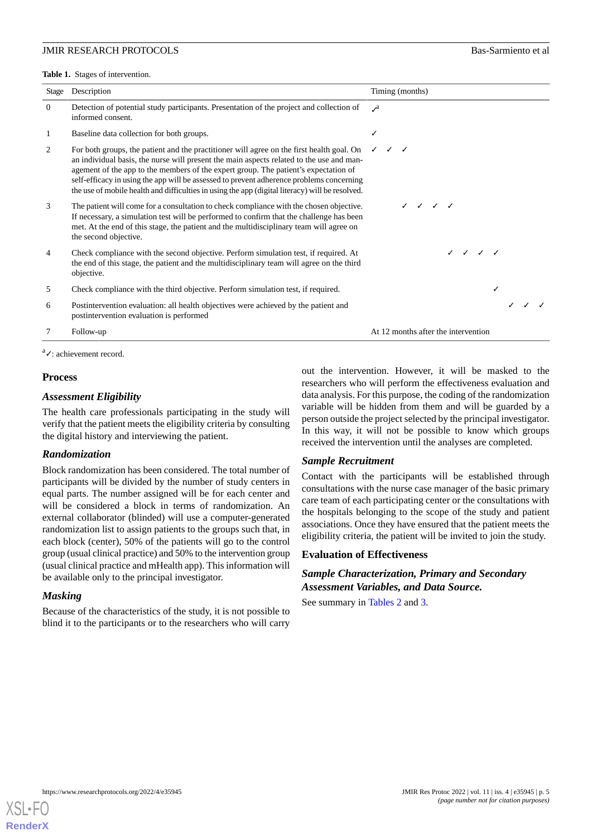<span id="page-4-0"></span>**Table 1.** Stages of intervention.

| Stage    | Description                                                                                                                                                                                                                                                                                                                                                                                                                                                                                           | Timing (months)                     |  |
|----------|-------------------------------------------------------------------------------------------------------------------------------------------------------------------------------------------------------------------------------------------------------------------------------------------------------------------------------------------------------------------------------------------------------------------------------------------------------------------------------------------------------|-------------------------------------|--|
| $\Omega$ | Detection of potential study participants. Presentation of the project and collection of<br>informed consent.                                                                                                                                                                                                                                                                                                                                                                                         | $\mathcal{A}$                       |  |
| 1        | Baseline data collection for both groups.                                                                                                                                                                                                                                                                                                                                                                                                                                                             |                                     |  |
| 2        | For both groups, the patient and the practitioner will agree on the first health goal. On $\checkmark$ $\checkmark$<br>an individual basis, the nurse will present the main aspects related to the use and man-<br>agement of the app to the members of the expert group. The patient's expectation of<br>self-efficacy in using the app will be assessed to prevent adherence problems concerning<br>the use of mobile health and difficulties in using the app (digital literacy) will be resolved. |                                     |  |
| 3        | The patient will come for a consultation to check compliance with the chosen objective.<br>If necessary, a simulation test will be performed to confirm that the challenge has been<br>met. At the end of this stage, the patient and the multidisciplinary team will agree on<br>the second objective.                                                                                                                                                                                               | / / / /                             |  |
| 4        | Check compliance with the second objective. Perform simulation test, if required. At<br>the end of this stage, the patient and the multidisciplinary team will agree on the third<br>objective.                                                                                                                                                                                                                                                                                                       | $\checkmark$                        |  |
| 5        | Check compliance with the third objective. Perform simulation test, if required.                                                                                                                                                                                                                                                                                                                                                                                                                      |                                     |  |
| 6        | Postintervention evaluation: all health objectives were achieved by the patient and<br>postintervention evaluation is performed                                                                                                                                                                                                                                                                                                                                                                       |                                     |  |
|          | Follow-up                                                                                                                                                                                                                                                                                                                                                                                                                                                                                             | At 12 months after the intervention |  |

<sup>a</sup>√: achievement record.

#### **Process**

#### *Assessment Eligibility*

The health care professionals participating in the study will verify that the patient meets the eligibility criteria by consulting the digital history and interviewing the patient.

#### *Randomization*

Block randomization has been considered. The total number of participants will be divided by the number of study centers in equal parts. The number assigned will be for each center and will be considered a block in terms of randomization. An external collaborator (blinded) will use a computer-generated randomization list to assign patients to the groups such that, in each block (center), 50% of the patients will go to the control group (usual clinical practice) and 50% to the intervention group (usual clinical practice and mHealth app). This information will be available only to the principal investigator.

#### *Masking*

Because of the characteristics of the study, it is not possible to blind it to the participants or to the researchers who will carry

out the intervention. However, it will be masked to the researchers who will perform the effectiveness evaluation and data analysis. For this purpose, the coding of the randomization variable will be hidden from them and will be guarded by a person outside the project selected by the principal investigator. In this way, it will not be possible to know which groups received the intervention until the analyses are completed.

#### *Sample Recruitment*

Contact with the participants will be established through consultations with the nurse case manager of the basic primary care team of each participating center or the consultations with the hospitals belonging to the scope of the study and patient associations. Once they have ensured that the patient meets the eligibility criteria, the patient will be invited to join the study.

#### **Evaluation of Effectiveness**

*Sample Characterization, Primary and Secondary Assessment Variables, and Data Source.*

See summary in [Tables 2](#page-5-0) and [3](#page-7-0).

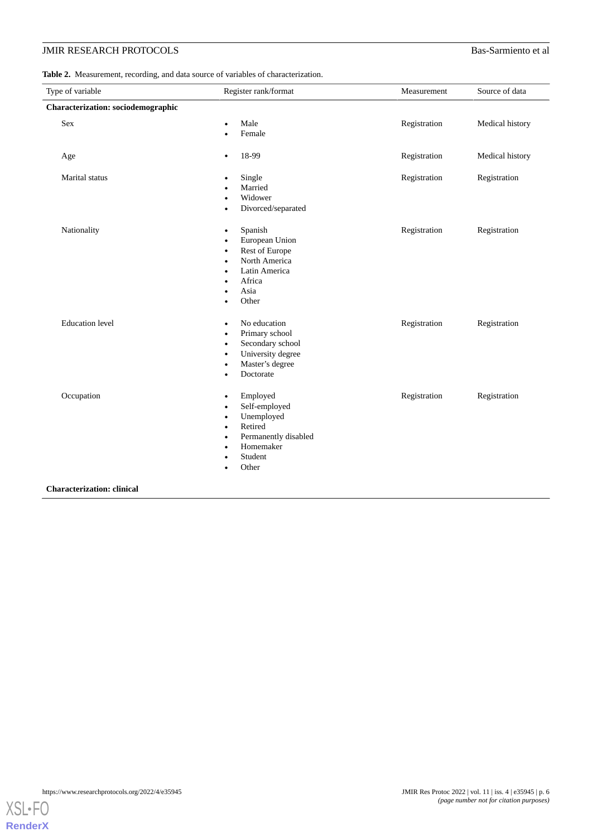<span id="page-5-0"></span>

| <b>Table 2.</b> Measurement, recording, and data source of variables of characterization. |
|-------------------------------------------------------------------------------------------|
|-------------------------------------------------------------------------------------------|

| Type of variable                   | Register rank/format                                                                                                                                                              | Measurement  | Source of data  |
|------------------------------------|-----------------------------------------------------------------------------------------------------------------------------------------------------------------------------------|--------------|-----------------|
| Characterization: sociodemographic |                                                                                                                                                                                   |              |                 |
| Sex                                | Male<br>Female                                                                                                                                                                    | Registration | Medical history |
| Age                                | 18-99<br>$\bullet$                                                                                                                                                                | Registration | Medical history |
| Marital status                     | Single<br>Married<br>Widower<br>Divorced/separated                                                                                                                                | Registration | Registration    |
| Nationality                        | Spanish<br>$\bullet$<br>European Union<br>Rest of Europe<br>$\bullet$<br>North America<br>$\bullet$<br>Latin America<br>$\bullet$<br>Africa<br>Asia<br>Other                      | Registration | Registration    |
| <b>Education</b> level             | No education<br>$\bullet$<br>Primary school<br>٠<br>Secondary school<br>$\bullet$<br>University degree<br>$\bullet$<br>Master's degree<br>Doctorate<br>$\bullet$                  | Registration | Registration    |
| Occupation                         | Employed<br>$\bullet$<br>Self-employed<br>٠<br>Unemployed<br>$\bullet$<br>Retired<br>$\bullet$<br>Permanently disabled<br>$\bullet$<br>Homemaker<br>$\bullet$<br>Student<br>Other | Registration | Registration    |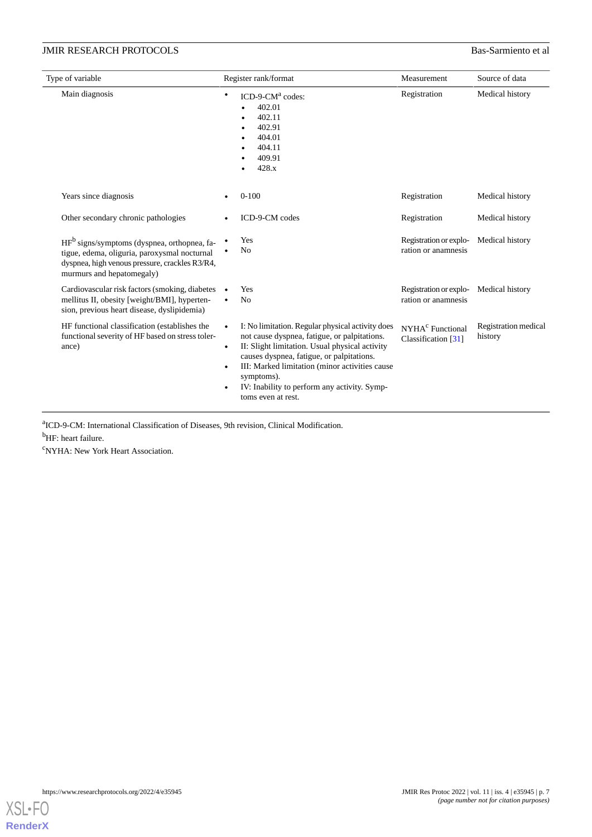| Type of variable                                                                                                                                                                       | Register rank/format                                                                                                                                                                                                                                                                                                                                                         | Measurement                                         | Source of data                  |
|----------------------------------------------------------------------------------------------------------------------------------------------------------------------------------------|------------------------------------------------------------------------------------------------------------------------------------------------------------------------------------------------------------------------------------------------------------------------------------------------------------------------------------------------------------------------------|-----------------------------------------------------|---------------------------------|
| Main diagnosis                                                                                                                                                                         | $ICD-9-CMa codes:$<br>$\bullet$<br>402.01<br>402.11<br>402.91<br>404.01<br>404.11<br>409.91<br>428.x                                                                                                                                                                                                                                                                         | Registration                                        | Medical history                 |
| Years since diagnosis                                                                                                                                                                  | $0-100$                                                                                                                                                                                                                                                                                                                                                                      | Registration                                        | Medical history                 |
| Other secondary chronic pathologies                                                                                                                                                    | ICD-9-CM codes                                                                                                                                                                                                                                                                                                                                                               | Registration                                        | Medical history                 |
| HF <sup>b</sup> signs/symptoms (dyspnea, orthopnea, fa-<br>tigue, edema, oliguria, paroxysmal nocturnal<br>dyspnea, high venous pressure, crackles R3/R4,<br>murmurs and hepatomegaly) | Yes<br>No                                                                                                                                                                                                                                                                                                                                                                    | Registration or explo-<br>ration or anamnesis       | Medical history                 |
| Cardiovascular risk factors (smoking, diabetes •<br>mellitus II, obesity [weight/BMI], hyperten-<br>sion, previous heart disease, dyslipidemia)                                        | Yes<br>N <sub>o</sub>                                                                                                                                                                                                                                                                                                                                                        | Registration or explo-<br>ration or anamnesis       | Medical history                 |
| HF functional classification (establishes the<br>functional severity of HF based on stress toler-<br>ance)                                                                             | I: No limitation. Regular physical activity does<br>$\bullet$<br>not cause dyspnea, fatigue, or palpitations.<br>II: Slight limitation. Usual physical activity<br>$\bullet$<br>causes dyspnea, fatigue, or palpitations.<br>III: Marked limitation (minor activities cause<br>$\bullet$<br>symptoms).<br>IV: Inability to perform any activity. Symp-<br>toms even at rest. | NYHA <sup>c</sup> Functional<br>Classification [31] | Registration medical<br>history |

a ICD-9-CM: International Classification of Diseases, 9th revision, Clinical Modification.

<sup>b</sup>HF: heart failure.

<sup>c</sup>NYHA: New York Heart Association.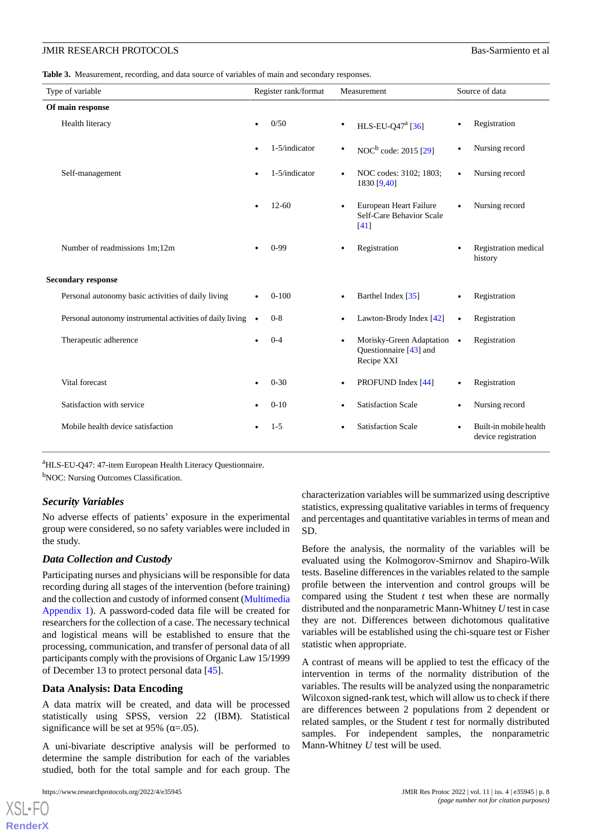<span id="page-7-0"></span>**Table 3.** Measurement, recording, and data source of variables of main and secondary responses.

| Type of variable                                          | Register rank/format | Measurement                                                        | Source of data                                |  |  |  |
|-----------------------------------------------------------|----------------------|--------------------------------------------------------------------|-----------------------------------------------|--|--|--|
| Of main response                                          |                      |                                                                    |                                               |  |  |  |
| Health literacy                                           | 0/50                 | HLS-EU-Q47 <sup>a</sup> [36]                                       | Registration<br>$\bullet$                     |  |  |  |
|                                                           | 1-5/indicator        | NOC <sup>b</sup> code: 2015 [29]<br>٠                              | Nursing record<br>$\bullet$                   |  |  |  |
| Self-management                                           | 1-5/indicator        | NOC codes: 3102; 1803;<br>1830 [9,40]                              | Nursing record<br>$\bullet$                   |  |  |  |
|                                                           | $12 - 60$            | European Heart Failure<br>Self-Care Behavior Scale<br>[41]         | Nursing record                                |  |  |  |
| Number of readmissions 1m;12m                             | $0-99$               | Registration                                                       | Registration medical<br>$\bullet$<br>history  |  |  |  |
| <b>Secondary response</b>                                 |                      |                                                                    |                                               |  |  |  |
| Personal autonomy basic activities of daily living        | $0-100$              | Barthel Index [35]                                                 | Registration<br>$\bullet$                     |  |  |  |
| Personal autonomy instrumental activities of daily living | $0 - 8$<br>$\bullet$ | Lawton-Brody Index [42]                                            | Registration<br>$\bullet$                     |  |  |  |
| Therapeutic adherence                                     | $0 - 4$              | Morisky-Green Adaptation •<br>Questionnaire [43] and<br>Recipe XXI | Registration                                  |  |  |  |
| Vital forecast                                            | $0 - 30$             | PROFUND Index [44]                                                 | Registration<br>$\bullet$                     |  |  |  |
| Satisfaction with service                                 | $0-10$               | <b>Satisfaction Scale</b>                                          | Nursing record                                |  |  |  |
| Mobile health device satisfaction                         | $1 - 5$              | <b>Satisfaction Scale</b>                                          | Built-in mobile health<br>device registration |  |  |  |

<sup>a</sup>HLS-EU-Q47: 47-item European Health Literacy Questionnaire.

<sup>b</sup>NOC: Nursing Outcomes Classification.

#### *Security Variables*

No adverse effects of patients' exposure in the experimental group were considered, so no safety variables were included in the study.

#### *Data Collection and Custody*

Participating nurses and physicians will be responsible for data recording during all stages of the intervention (before training) and the collection and custody of informed consent ([Multimedia](#page-9-6) [Appendix 1](#page-9-6)). A password-coded data file will be created for researchers for the collection of a case. The necessary technical and logistical means will be established to ensure that the processing, communication, and transfer of personal data of all participants comply with the provisions of Organic Law 15/1999 of December 13 to protect personal data [[45\]](#page-11-19).

#### **Data Analysis: Data Encoding**

A data matrix will be created, and data will be processed statistically using SPSS, version 22 (IBM). Statistical significance will be set at 95% ( $\alpha$ =.05).

A uni-bivariate descriptive analysis will be performed to determine the sample distribution for each of the variables studied, both for the total sample and for each group. The

[XSL](http://www.w3.org/Style/XSL)•FO **[RenderX](http://www.renderx.com/)**

characterization variables will be summarized using descriptive statistics, expressing qualitative variables in terms of frequency and percentages and quantitative variables in terms of mean and SD.

Before the analysis, the normality of the variables will be evaluated using the Kolmogorov-Smirnov and Shapiro-Wilk tests. Baseline differences in the variables related to the sample profile between the intervention and control groups will be compared using the Student *t* test when these are normally distributed and the nonparametric Mann-Whitney *U* test in case they are not. Differences between dichotomous qualitative variables will be established using the chi-square test or Fisher statistic when appropriate.

A contrast of means will be applied to test the efficacy of the intervention in terms of the normality distribution of the variables. The results will be analyzed using the nonparametric Wilcoxon signed-rank test, which will allow us to check if there are differences between 2 populations from 2 dependent or related samples, or the Student *t* test for normally distributed samples. For independent samples, the nonparametric Mann-Whitney *U* test will be used.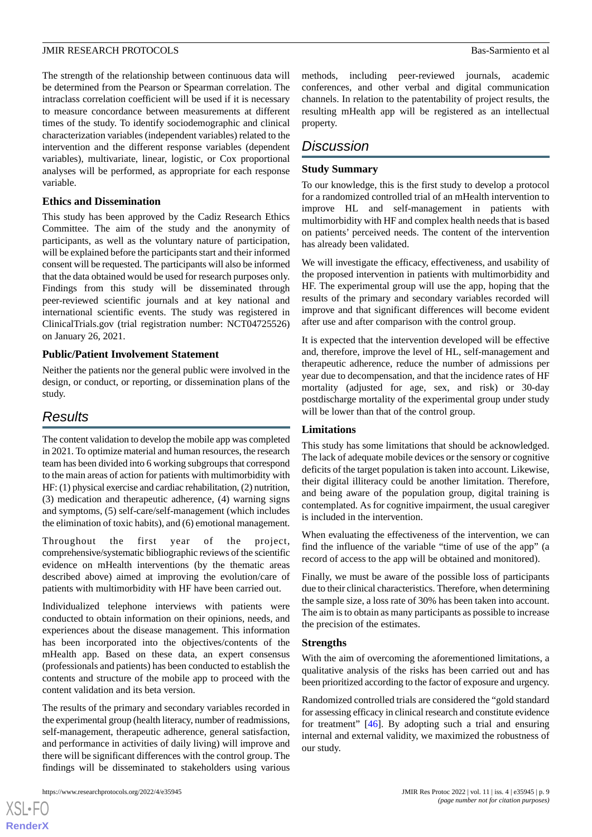The strength of the relationship between continuous data will be determined from the Pearson or Spearman correlation. The intraclass correlation coefficient will be used if it is necessary to measure concordance between measurements at different times of the study. To identify sociodemographic and clinical characterization variables (independent variables) related to the intervention and the different response variables (dependent variables), multivariate, linear, logistic, or Cox proportional analyses will be performed, as appropriate for each response variable.

#### **Ethics and Dissemination**

This study has been approved by the Cadiz Research Ethics Committee. The aim of the study and the anonymity of participants, as well as the voluntary nature of participation, will be explained before the participants start and their informed consent will be requested. The participants will also be informed that the data obtained would be used for research purposes only. Findings from this study will be disseminated through peer-reviewed scientific journals and at key national and international scientific events. The study was registered in ClinicalTrials.gov (trial registration number: NCT04725526) on January 26, 2021.

#### **Public/Patient Involvement Statement**

Neither the patients nor the general public were involved in the design, or conduct, or reporting, or dissemination plans of the study.

## *Results*

The content validation to develop the mobile app was completed in 2021. To optimize material and human resources, the research team has been divided into 6 working subgroups that correspond to the main areas of action for patients with multimorbidity with HF: (1) physical exercise and cardiac rehabilitation, (2) nutrition, (3) medication and therapeutic adherence, (4) warning signs and symptoms, (5) self-care/self-management (which includes the elimination of toxic habits), and (6) emotional management.

Throughout the first year of the project, comprehensive/systematic bibliographic reviews of the scientific evidence on mHealth interventions (by the thematic areas described above) aimed at improving the evolution/care of patients with multimorbidity with HF have been carried out.

Individualized telephone interviews with patients were conducted to obtain information on their opinions, needs, and experiences about the disease management. This information has been incorporated into the objectives/contents of the mHealth app. Based on these data, an expert consensus (professionals and patients) has been conducted to establish the contents and structure of the mobile app to proceed with the content validation and its beta version.

The results of the primary and secondary variables recorded in the experimental group (health literacy, number of readmissions, self-management, therapeutic adherence, general satisfaction, and performance in activities of daily living) will improve and there will be significant differences with the control group. The findings will be disseminated to stakeholders using various

[XSL](http://www.w3.org/Style/XSL)•FO **[RenderX](http://www.renderx.com/)** methods, including peer-reviewed journals, academic conferences, and other verbal and digital communication channels. In relation to the patentability of project results, the resulting mHealth app will be registered as an intellectual property.

## *Discussion*

#### **Study Summary**

To our knowledge, this is the first study to develop a protocol for a randomized controlled trial of an mHealth intervention to improve HL and self-management in patients with multimorbidity with HF and complex health needs that is based on patients' perceived needs. The content of the intervention has already been validated.

We will investigate the efficacy, effectiveness, and usability of the proposed intervention in patients with multimorbidity and HF. The experimental group will use the app, hoping that the results of the primary and secondary variables recorded will improve and that significant differences will become evident after use and after comparison with the control group.

It is expected that the intervention developed will be effective and, therefore, improve the level of HL, self-management and therapeutic adherence, reduce the number of admissions per year due to decompensation, and that the incidence rates of HF mortality (adjusted for age, sex, and risk) or 30-day postdischarge mortality of the experimental group under study will be lower than that of the control group.

#### **Limitations**

This study has some limitations that should be acknowledged. The lack of adequate mobile devices or the sensory or cognitive deficits of the target population is taken into account. Likewise, their digital illiteracy could be another limitation. Therefore, and being aware of the population group, digital training is contemplated. As for cognitive impairment, the usual caregiver is included in the intervention.

When evaluating the effectiveness of the intervention, we can find the influence of the variable "time of use of the app" (a record of access to the app will be obtained and monitored).

Finally, we must be aware of the possible loss of participants due to their clinical characteristics. Therefore, when determining the sample size, a loss rate of 30% has been taken into account. The aim is to obtain as many participants as possible to increase the precision of the estimates.

#### **Strengths**

With the aim of overcoming the aforementioned limitations, a qualitative analysis of the risks has been carried out and has been prioritized according to the factor of exposure and urgency.

Randomized controlled trials are considered the "gold standard for assessing efficacy in clinical research and constitute evidence for treatment" [\[46](#page-11-20)]. By adopting such a trial and ensuring internal and external validity, we maximized the robustness of our study.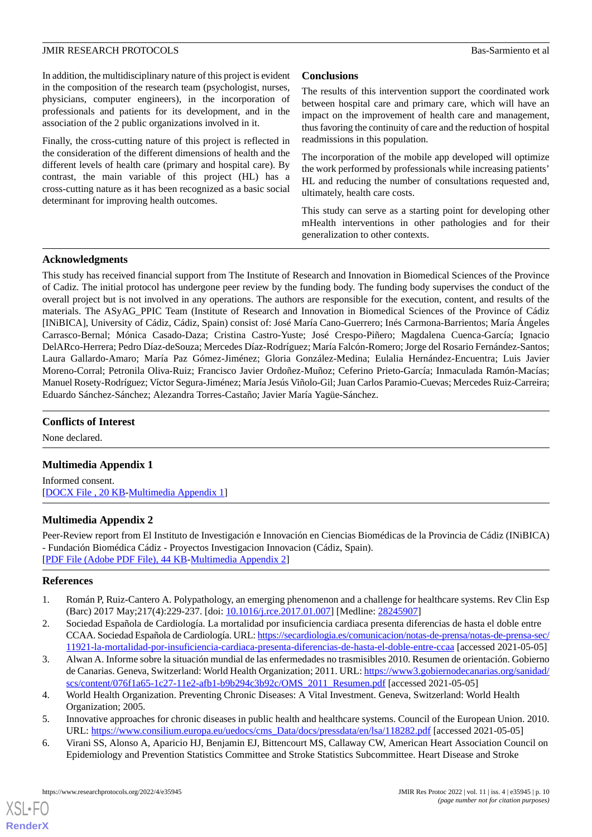In addition, the multidisciplinary nature of this project is evident in the composition of the research team (psychologist, nurses, physicians, computer engineers), in the incorporation of professionals and patients for its development, and in the association of the 2 public organizations involved in it.

Finally, the cross-cutting nature of this project is reflected in the consideration of the different dimensions of health and the different levels of health care (primary and hospital care). By contrast, the main variable of this project (HL) has a cross-cutting nature as it has been recognized as a basic social determinant for improving health outcomes.

### **Conclusions**

The results of this intervention support the coordinated work between hospital care and primary care, which will have an impact on the improvement of health care and management, thus favoring the continuity of care and the reduction of hospital readmissions in this population.

The incorporation of the mobile app developed will optimize the work performed by professionals while increasing patients' HL and reducing the number of consultations requested and, ultimately, health care costs.

This study can serve as a starting point for developing other mHealth interventions in other pathologies and for their generalization to other contexts.

#### **Acknowledgments**

This study has received financial support from The Institute of Research and Innovation in Biomedical Sciences of the Province of Cadiz. The initial protocol has undergone peer review by the funding body. The funding body supervises the conduct of the overall project but is not involved in any operations. The authors are responsible for the execution, content, and results of the materials. The ASyAG\_PPIC Team (Institute of Research and Innovation in Biomedical Sciences of the Province of Cádiz [INiBICA], University of Cádiz, Cádiz, Spain) consist of: José María Cano-Guerrero; Inés Carmona-Barrientos; María Ángeles Carrasco-Bernal; Mónica Casado-Daza; Cristina Castro-Yuste; José Crespo-Piñero; Magdalena Cuenca-García; Ignacio DelARco-Herrera; Pedro Díaz-deSouza; Mercedes Díaz-Rodríguez; María Falcón-Romero; Jorge del Rosario Fernández-Santos; Laura Gallardo-Amaro; María Paz Gómez-Jiménez; Gloria González-Medina; Eulalia Hernández-Encuentra; Luis Javier Moreno-Corral; Petronila Oliva-Ruiz; Francisco Javier Ordoñez-Muñoz; Ceferino Prieto-García; Inmaculada Ramón-Macías; Manuel Rosety-Rodríguez; Víctor Segura-Jiménez; María Jesús Viñolo-Gil; Juan Carlos Paramio-Cuevas; Mercedes Ruiz-Carreira; Eduardo Sánchez-Sánchez; Alezandra Torres-Castaño; Javier María Yagüe-Sánchez.

#### <span id="page-9-6"></span>**Conflicts of Interest**

None declared.

## **Multimedia Appendix 1**

Informed consent. [[DOCX File , 20 KB](https://jmir.org/api/download?alt_name=resprot_v11i4e35945_app1.docx&filename=9940ff66e14c66e5c67d769324fe1f46.docx)-[Multimedia Appendix 1\]](https://jmir.org/api/download?alt_name=resprot_v11i4e35945_app1.docx&filename=9940ff66e14c66e5c67d769324fe1f46.docx)

## **Multimedia Appendix 2**

<span id="page-9-0"></span>Peer-Review report from El Instituto de Investigación e Innovación en Ciencias Biomédicas de la Provincia de Cádiz (INiBICA) - Fundación Biomédica Cádiz - Proyectos Investigacion Innovacion (Cádiz, Spain). [[PDF File \(Adobe PDF File\), 44 KB](https://jmir.org/api/download?alt_name=resprot_v11i4e35945_app2.pdf&filename=904b6617134250c291a5b8d032dafbb7.pdf)-[Multimedia Appendix 2\]](https://jmir.org/api/download?alt_name=resprot_v11i4e35945_app2.pdf&filename=904b6617134250c291a5b8d032dafbb7.pdf)

#### <span id="page-9-1"></span>**References**

- <span id="page-9-2"></span>1. Román P, Ruiz-Cantero A. Polypathology, an emerging phenomenon and a challenge for healthcare systems. Rev Clin Esp (Barc) 2017 May;217(4):229-237. [doi: [10.1016/j.rce.2017.01.007\]](http://dx.doi.org/10.1016/j.rce.2017.01.007) [Medline: [28245907](http://www.ncbi.nlm.nih.gov/entrez/query.fcgi?cmd=Retrieve&db=PubMed&list_uids=28245907&dopt=Abstract)]
- <span id="page-9-3"></span>2. Sociedad Española de Cardiología. La mortalidad por insuficiencia cardiaca presenta diferencias de hasta el doble entre CCAA. Sociedad Española de Cardiología. URL: [https://secardiologia.es/comunicacion/notas-de-prensa/notas-de-prensa-sec/](https://secardiologia.es/comunicacion/notas-de-prensa/notas-de-prensa-sec/11921-la-mortalidad-por-insuficiencia-cardiaca-presenta-diferencias-de-hasta-el-doble-entre-ccaa) [11921-la-mortalidad-por-insuficiencia-cardiaca-presenta-diferencias-de-hasta-el-doble-entre-ccaa](https://secardiologia.es/comunicacion/notas-de-prensa/notas-de-prensa-sec/11921-la-mortalidad-por-insuficiencia-cardiaca-presenta-diferencias-de-hasta-el-doble-entre-ccaa) [accessed 2021-05-05]
- <span id="page-9-5"></span><span id="page-9-4"></span>3. Alwan A. Informe sobre la situación mundial de las enfermedades no trasmisibles 2010. Resumen de orientación. Gobierno de Canarias. Geneva, Switzerland: World Health Organization; 2011. URL: [https://www3.gobiernodecanarias.org/sanidad/](https://www3.gobiernodecanarias.org/sanidad/scs/content/076f1a65-1c27-11e2-afb1-b9b294c3b92c/OMS_2011_Resumen.pdf) [scs/content/076f1a65-1c27-11e2-afb1-b9b294c3b92c/OMS\\_2011\\_Resumen.pdf](https://www3.gobiernodecanarias.org/sanidad/scs/content/076f1a65-1c27-11e2-afb1-b9b294c3b92c/OMS_2011_Resumen.pdf) [accessed 2021-05-05]
- 4. World Health Organization. Preventing Chronic Diseases: A Vital Investment. Geneva, Switzerland: World Health Organization; 2005.
- 5. Innovative approaches for chronic diseases in public health and healthcare systems. Council of the European Union. 2010. URL: [https://www.consilium.europa.eu/uedocs/cms\\_Data/docs/pressdata/en/lsa/118282.pdf](https://www.consilium.europa.eu/uedocs/cms_Data/docs/pressdata/en/lsa/118282.pdf) [accessed 2021-05-05]
- 6. Virani SS, Alonso A, Aparicio HJ, Benjamin EJ, Bittencourt MS, Callaway CW, American Heart Association Council on Epidemiology and Prevention Statistics Committee and Stroke Statistics Subcommittee. Heart Disease and Stroke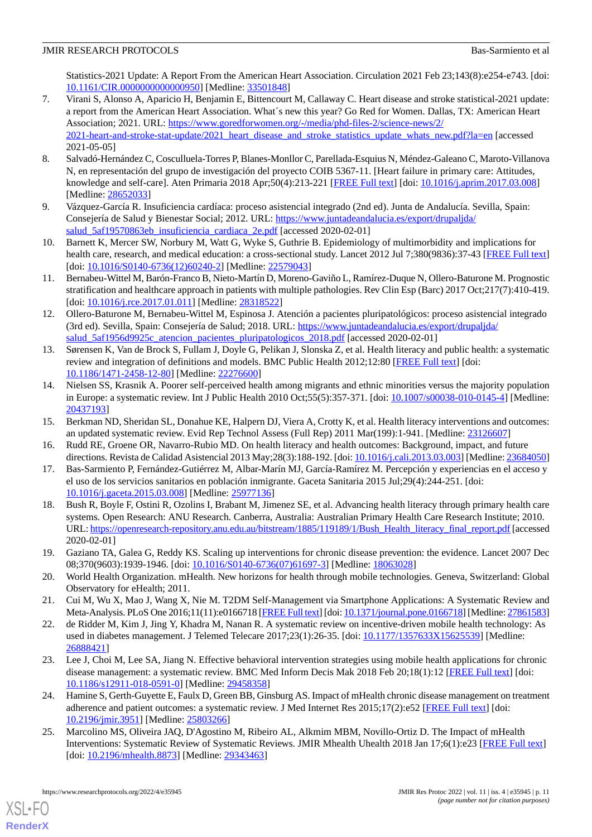Statistics-2021 Update: A Report From the American Heart Association. Circulation 2021 Feb 23;143(8):e254-e743. [doi: [10.1161/CIR.0000000000000950\]](http://dx.doi.org/10.1161/CIR.0000000000000950) [Medline: [33501848\]](http://www.ncbi.nlm.nih.gov/entrez/query.fcgi?cmd=Retrieve&db=PubMed&list_uids=33501848&dopt=Abstract)

- <span id="page-10-0"></span>7. Virani S, Alonso A, Aparicio H, Benjamin E, Bittencourt M, Callaway C. Heart disease and stroke statistical-2021 update: a report from the American Heart Association. What´s new this year? Go Red for Women. Dallas, TX: American Heart Association; 2021. URL: [https://www.goredforwomen.org/-/media/phd-files-2/science-news/2/](https://www.goredforwomen.org/-/media/phd-files-2/science-news/2/2021-heart-and-stroke-stat-update/2021_heart_disease_and_stroke_statistics_update_whats_new.pdf?la=en) [2021-heart-and-stroke-stat-update/2021\\_heart\\_disease\\_and\\_stroke\\_statistics\\_update\\_whats\\_new.pdf?la=en](https://www.goredforwomen.org/-/media/phd-files-2/science-news/2/2021-heart-and-stroke-stat-update/2021_heart_disease_and_stroke_statistics_update_whats_new.pdf?la=en) [accessed 2021-05-05]
- <span id="page-10-1"></span>8. Salvadó-Hernández C, Cosculluela-Torres P, Blanes-Monllor C, Parellada-Esquius N, Méndez-Galeano C, Maroto-Villanova N, en representación del grupo de investigación del proyecto COIB 5367-11. [Heart failure in primary care: Attitudes, knowledge and self-care]. Aten Primaria 2018 Apr;50(4):213-221 [[FREE Full text](https://linkinghub.elsevier.com/retrieve/pii/S0212-6567(16)30465-6)] [doi: [10.1016/j.aprim.2017.03.008\]](http://dx.doi.org/10.1016/j.aprim.2017.03.008) [Medline: [28652033](http://www.ncbi.nlm.nih.gov/entrez/query.fcgi?cmd=Retrieve&db=PubMed&list_uids=28652033&dopt=Abstract)]
- <span id="page-10-3"></span><span id="page-10-2"></span>9. Vázquez-García R. Insuficiencia cardíaca: proceso asistencial integrado (2nd ed). Junta de Andalucía. Sevilla, Spain: Consejería de Salud y Bienestar Social; 2012. URL: [https://www.juntadeandalucia.es/export/drupaljda/](https://www.juntadeandalucia.es/export/drupaljda/salud_5af19570863eb_insuficiencia_cardiaca_2e.pdf) [salud\\_5af19570863eb\\_insuficiencia\\_cardiaca\\_2e.pdf](https://www.juntadeandalucia.es/export/drupaljda/salud_5af19570863eb_insuficiencia_cardiaca_2e.pdf) [accessed 2020-02-01]
- <span id="page-10-4"></span>10. Barnett K, Mercer SW, Norbury M, Watt G, Wyke S, Guthrie B. Epidemiology of multimorbidity and implications for health care, research, and medical education: a cross-sectional study. Lancet 2012 Jul 7;380(9836):37-43 [\[FREE Full text](http://linkinghub.elsevier.com/retrieve/pii/S0140-6736(12)60240-2)] [doi: [10.1016/S0140-6736\(12\)60240-2](http://dx.doi.org/10.1016/S0140-6736(12)60240-2)] [Medline: [22579043\]](http://www.ncbi.nlm.nih.gov/entrez/query.fcgi?cmd=Retrieve&db=PubMed&list_uids=22579043&dopt=Abstract)
- <span id="page-10-5"></span>11. Bernabeu-Wittel M, Barón-Franco B, Nieto-Martín D, Moreno-Gaviño L, Ramírez-Duque N, Ollero-Baturone M. Prognostic stratification and healthcare approach in patients with multiple pathologies. Rev Clin Esp (Barc) 2017 Oct;217(7):410-419. [doi: [10.1016/j.rce.2017.01.011](http://dx.doi.org/10.1016/j.rce.2017.01.011)] [Medline: [28318522\]](http://www.ncbi.nlm.nih.gov/entrez/query.fcgi?cmd=Retrieve&db=PubMed&list_uids=28318522&dopt=Abstract)
- <span id="page-10-6"></span>12. Ollero-Baturone M, Bernabeu-Wittel M, Espinosa J. Atención a pacientes pluripatológicos: proceso asistencial integrado (3rd ed). Sevilla, Spain: Consejería de Salud; 2018. URL: [https://www.juntadeandalucia.es/export/drupaljda/](https://www.juntadeandalucia.es/export/drupaljda/salud_5af1956d9925c_atencion_pacientes_pluripatologicos_2018.pdf) salud 5af1956d9925c atencion pacientes pluripatologicos 2018.pdf [accessed 2020-02-01]
- <span id="page-10-7"></span>13. Sørensen K, Van de Brock S, Fullam J, Doyle G, Pelikan J, Slonska Z, et al. Health literacy and public health: a systematic review and integration of definitions and models. BMC Public Health 2012;12:80 [\[FREE Full text\]](http://www.biomedcentral.com/1471-2458/12/80) [doi: [10.1186/1471-2458-12-80\]](http://dx.doi.org/10.1186/1471-2458-12-80) [Medline: [22276600\]](http://www.ncbi.nlm.nih.gov/entrez/query.fcgi?cmd=Retrieve&db=PubMed&list_uids=22276600&dopt=Abstract)
- <span id="page-10-9"></span><span id="page-10-8"></span>14. Nielsen SS, Krasnik A. Poorer self-perceived health among migrants and ethnic minorities versus the majority population in Europe: a systematic review. Int J Public Health 2010 Oct;55(5):357-371. [doi: [10.1007/s00038-010-0145-4\]](http://dx.doi.org/10.1007/s00038-010-0145-4) [Medline: [20437193](http://www.ncbi.nlm.nih.gov/entrez/query.fcgi?cmd=Retrieve&db=PubMed&list_uids=20437193&dopt=Abstract)]
- <span id="page-10-10"></span>15. Berkman ND, Sheridan SL, Donahue KE, Halpern DJ, Viera A, Crotty K, et al. Health literacy interventions and outcomes: an updated systematic review. Evid Rep Technol Assess (Full Rep) 2011 Mar(199):1-941. [Medline: [23126607](http://www.ncbi.nlm.nih.gov/entrez/query.fcgi?cmd=Retrieve&db=PubMed&list_uids=23126607&dopt=Abstract)]
- <span id="page-10-11"></span>16. Rudd RE, Groene OR, Navarro-Rubio MD. On health literacy and health outcomes: Background, impact, and future directions. Revista de Calidad Asistencial 2013 May;28(3):188-192. [doi: [10.1016/j.cali.2013.03.003](http://dx.doi.org/10.1016/j.cali.2013.03.003)] [Medline: [23684050\]](http://www.ncbi.nlm.nih.gov/entrez/query.fcgi?cmd=Retrieve&db=PubMed&list_uids=23684050&dopt=Abstract)
- 17. Bas-Sarmiento P, Fernández-Gutiérrez M, Albar-Marín MJ, García-Ramírez M. Percepción y experiencias en el acceso y el uso de los servicios sanitarios en población inmigrante. Gaceta Sanitaria 2015 Jul;29(4):244-251. [doi: [10.1016/j.gaceta.2015.03.008](http://dx.doi.org/10.1016/j.gaceta.2015.03.008)] [Medline: [25977136\]](http://www.ncbi.nlm.nih.gov/entrez/query.fcgi?cmd=Retrieve&db=PubMed&list_uids=25977136&dopt=Abstract)
- <span id="page-10-13"></span><span id="page-10-12"></span>18. Bush R, Boyle F, Ostini R, Ozolins I, Brabant M, Jimenez SE, et al. Advancing health literacy through primary health care systems. Open Research: ANU Research. Canberra, Australia: Australian Primary Health Care Research Institute; 2010. URL: [https://openresearch-repository.anu.edu.au/bitstream/1885/119189/1/Bush\\_Health\\_literacy\\_final\\_report.pdf](https://openresearch-repository.anu.edu.au/bitstream/1885/119189/1/Bush_Health_literacy_final_report.pdf) [accessed 2020-02-01]
- <span id="page-10-15"></span><span id="page-10-14"></span>19. Gaziano TA, Galea G, Reddy KS. Scaling up interventions for chronic disease prevention: the evidence. Lancet 2007 Dec 08;370(9603):1939-1946. [doi: [10.1016/S0140-6736\(07\)61697-3\]](http://dx.doi.org/10.1016/S0140-6736(07)61697-3) [Medline: [18063028](http://www.ncbi.nlm.nih.gov/entrez/query.fcgi?cmd=Retrieve&db=PubMed&list_uids=18063028&dopt=Abstract)]
- 20. World Health Organization. mHealth. New horizons for health through mobile technologies. Geneva, Switzerland: Global Observatory for eHealth; 2011.
- <span id="page-10-16"></span>21. Cui M, Wu X, Mao J, Wang X, Nie M. T2DM Self-Management via Smartphone Applications: A Systematic Review and Meta-Analysis. PLoS One 2016;11(11):e0166718 [[FREE Full text](http://dx.plos.org/10.1371/journal.pone.0166718)] [doi: [10.1371/journal.pone.0166718](http://dx.doi.org/10.1371/journal.pone.0166718)] [Medline: [27861583\]](http://www.ncbi.nlm.nih.gov/entrez/query.fcgi?cmd=Retrieve&db=PubMed&list_uids=27861583&dopt=Abstract)
- <span id="page-10-17"></span>22. de Ridder M, Kim J, Jing Y, Khadra M, Nanan R. A systematic review on incentive-driven mobile health technology: As used in diabetes management. J Telemed Telecare 2017;23(1):26-35. [doi: [10.1177/1357633X15625539\]](http://dx.doi.org/10.1177/1357633X15625539) [Medline: [26888421](http://www.ncbi.nlm.nih.gov/entrez/query.fcgi?cmd=Retrieve&db=PubMed&list_uids=26888421&dopt=Abstract)]
- <span id="page-10-18"></span>23. Lee J, Choi M, Lee SA, Jiang N. Effective behavioral intervention strategies using mobile health applications for chronic disease management: a systematic review. BMC Med Inform Decis Mak 2018 Feb 20;18(1):12 [[FREE Full text](https://bmcmedinformdecismak.biomedcentral.com/articles/10.1186/s12911-018-0591-0)] [doi: [10.1186/s12911-018-0591-0\]](http://dx.doi.org/10.1186/s12911-018-0591-0) [Medline: [29458358](http://www.ncbi.nlm.nih.gov/entrez/query.fcgi?cmd=Retrieve&db=PubMed&list_uids=29458358&dopt=Abstract)]
- 24. Hamine S, Gerth-Guyette E, Faulx D, Green BB, Ginsburg AS. Impact of mHealth chronic disease management on treatment adherence and patient outcomes: a systematic review. J Med Internet Res 2015;17(2):e52 [\[FREE Full text\]](http://www.jmir.org/2015/2/e52/) [doi: [10.2196/jmir.3951](http://dx.doi.org/10.2196/jmir.3951)] [Medline: [25803266](http://www.ncbi.nlm.nih.gov/entrez/query.fcgi?cmd=Retrieve&db=PubMed&list_uids=25803266&dopt=Abstract)]
- 25. Marcolino MS, Oliveira JAQ, D'Agostino M, Ribeiro AL, Alkmim MBM, Novillo-Ortiz D. The Impact of mHealth Interventions: Systematic Review of Systematic Reviews. JMIR Mhealth Uhealth 2018 Jan 17;6(1):e23 [[FREE Full text](http://mhealth.jmir.org/2018/1/e23/)] [doi: [10.2196/mhealth.8873\]](http://dx.doi.org/10.2196/mhealth.8873) [Medline: [29343463\]](http://www.ncbi.nlm.nih.gov/entrez/query.fcgi?cmd=Retrieve&db=PubMed&list_uids=29343463&dopt=Abstract)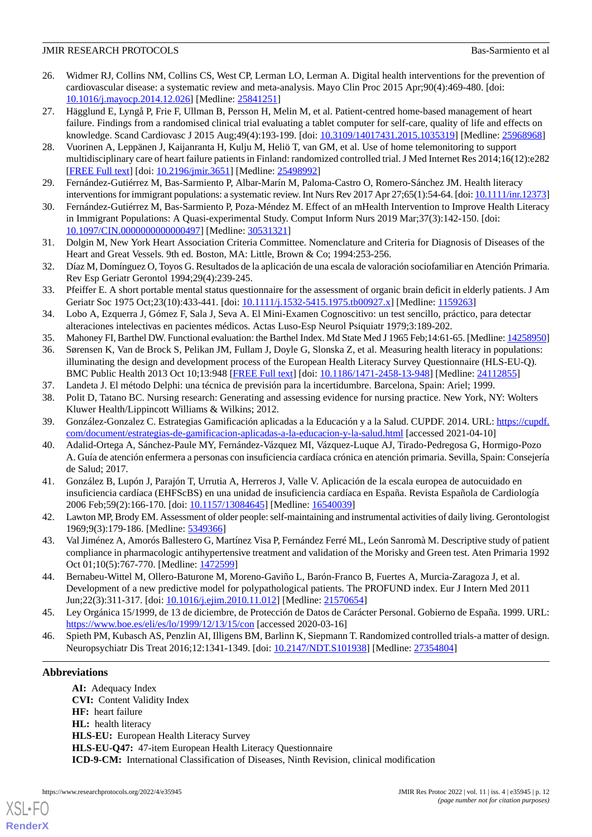- <span id="page-11-0"></span>26. Widmer RJ, Collins NM, Collins CS, West CP, Lerman LO, Lerman A. Digital health interventions for the prevention of cardiovascular disease: a systematic review and meta-analysis. Mayo Clin Proc 2015 Apr;90(4):469-480. [doi: [10.1016/j.mayocp.2014.12.026](http://dx.doi.org/10.1016/j.mayocp.2014.12.026)] [Medline: [25841251](http://www.ncbi.nlm.nih.gov/entrez/query.fcgi?cmd=Retrieve&db=PubMed&list_uids=25841251&dopt=Abstract)]
- <span id="page-11-1"></span>27. Hägglund E, Lyngå P, Frie F, Ullman B, Persson H, Melin M, et al. Patient-centred home-based management of heart failure. Findings from a randomised clinical trial evaluating a tablet computer for self-care, quality of life and effects on knowledge. Scand Cardiovasc J 2015 Aug;49(4):193-199. [doi: [10.3109/14017431.2015.1035319\]](http://dx.doi.org/10.3109/14017431.2015.1035319) [Medline: [25968968](http://www.ncbi.nlm.nih.gov/entrez/query.fcgi?cmd=Retrieve&db=PubMed&list_uids=25968968&dopt=Abstract)]
- <span id="page-11-3"></span><span id="page-11-2"></span>28. Vuorinen A, Leppänen J, Kaijanranta H, Kulju M, Heliö T, van GM, et al. Use of home telemonitoring to support multidisciplinary care of heart failure patients in Finland: randomized controlled trial. J Med Internet Res 2014;16(12):e282 [[FREE Full text](http://www.jmir.org/2014/12/e282/)] [doi: [10.2196/jmir.3651](http://dx.doi.org/10.2196/jmir.3651)] [Medline: [25498992](http://www.ncbi.nlm.nih.gov/entrez/query.fcgi?cmd=Retrieve&db=PubMed&list_uids=25498992&dopt=Abstract)]
- <span id="page-11-4"></span>29. Fernández-Gutiérrez M, Bas-Sarmiento P, Albar-Marín M, Paloma-Castro O, Romero-Sánchez JM. Health literacy interventions for immigrant populations: a systematic review. Int Nurs Rev 2017 Apr 27;65(1):54-64. [doi: [10.1111/inr.12373\]](http://dx.doi.org/10.1111/inr.12373)
- <span id="page-11-5"></span>30. Fernández-Gutiérrez M, Bas-Sarmiento P, Poza-Méndez M. Effect of an mHealth Intervention to Improve Health Literacy in Immigrant Populations: A Quasi-experimental Study. Comput Inform Nurs 2019 Mar;37(3):142-150. [doi: [10.1097/CIN.0000000000000497\]](http://dx.doi.org/10.1097/CIN.0000000000000497) [Medline: [30531321](http://www.ncbi.nlm.nih.gov/entrez/query.fcgi?cmd=Retrieve&db=PubMed&list_uids=30531321&dopt=Abstract)]
- <span id="page-11-6"></span>31. Dolgin M, New York Heart Association Criteria Committee. Nomenclature and Criteria for Diagnosis of Diseases of the Heart and Great Vessels. 9th ed. Boston, MA: Little, Brown & Co; 1994:253-256.
- <span id="page-11-7"></span>32. Díaz M, Domínguez O, Toyos G. Resultados de la aplicación de una escala de valoración sociofamiliar en Atención Primaria. Rev Esp Geriatr Gerontol 1994;29(4):239-245.
- <span id="page-11-8"></span>33. Pfeiffer E. A short portable mental status questionnaire for the assessment of organic brain deficit in elderly patients. J Am Geriatr Soc 1975 Oct;23(10):433-441. [doi: [10.1111/j.1532-5415.1975.tb00927.x\]](http://dx.doi.org/10.1111/j.1532-5415.1975.tb00927.x) [Medline: [1159263\]](http://www.ncbi.nlm.nih.gov/entrez/query.fcgi?cmd=Retrieve&db=PubMed&list_uids=1159263&dopt=Abstract)
- <span id="page-11-10"></span><span id="page-11-9"></span>34. Lobo A, Ezquerra J, Gómez F, Sala J, Seva A. El Mini-Examen Cognoscitivo: un test sencillo, práctico, para detectar alteraciones intelectivas en pacientes médicos. Actas Luso-Esp Neurol Psiquiatr 1979;3:189-202.
- 35. Mahoney FI, Barthel DW. Functional evaluation: the Barthel Index. Md State Med J 1965 Feb;14:61-65. [Medline: [14258950\]](http://www.ncbi.nlm.nih.gov/entrez/query.fcgi?cmd=Retrieve&db=PubMed&list_uids=14258950&dopt=Abstract)
- <span id="page-11-12"></span><span id="page-11-11"></span>36. Sørensen K, Van de Brock S, Pelikan JM, Fullam J, Doyle G, Slonska Z, et al. Measuring health literacy in populations: illuminating the design and development process of the European Health Literacy Survey Questionnaire (HLS-EU-Q). BMC Public Health 2013 Oct 10;13:948 [\[FREE Full text\]](http://bmcpublichealth.biomedcentral.com/articles/10.1186/1471-2458-13-948) [doi: [10.1186/1471-2458-13-948](http://dx.doi.org/10.1186/1471-2458-13-948)] [Medline: [24112855\]](http://www.ncbi.nlm.nih.gov/entrez/query.fcgi?cmd=Retrieve&db=PubMed&list_uids=24112855&dopt=Abstract)
- <span id="page-11-13"></span>37. Landeta J. El método Delphi: una técnica de previsión para la incertidumbre. Barcelona, Spain: Ariel; 1999.
- <span id="page-11-14"></span>38. Polit D, Tatano BC. Nursing research: Generating and assessing evidence for nursing practice. New York, NY: Wolters Kluwer Health/Lippincott Williams & Wilkins; 2012.
- <span id="page-11-15"></span>39. González-Gonzalez C. Estrategias Gamificación aplicadas a la Educación y a la Salud. CUPDF. 2014. URL: [https://cupdf.](https://cupdf.com/document/estrategias-de-gamificacion-aplicadas-a-la-educacion-y-la-salud.html) [com/document/estrategias-de-gamificacion-aplicadas-a-la-educacion-y-la-salud.html](https://cupdf.com/document/estrategias-de-gamificacion-aplicadas-a-la-educacion-y-la-salud.html) [accessed 2021-04-10]
- 40. Adalid-Ortega A, Sánchez-Paule MY, Fernández-Vázquez MI, Vázquez-Luque AJ, Tirado-Pedregosa G, Hormigo-Pozo A. Guía de atención enfermera a personas con insuficiencia cardíaca crónica en atención primaria. Sevilla, Spain: Consejería de Salud; 2017.
- <span id="page-11-17"></span><span id="page-11-16"></span>41. González B, Lupón J, Parajón T, Urrutia A, Herreros J, Valle V. Aplicación de la escala europea de autocuidado en insuficiencia cardíaca (EHFScBS) en una unidad de insuficiencia cardíaca en España. Revista Española de Cardiología 2006 Feb;59(2):166-170. [doi: [10.1157/13084645](http://dx.doi.org/10.1157/13084645)] [Medline: [16540039](http://www.ncbi.nlm.nih.gov/entrez/query.fcgi?cmd=Retrieve&db=PubMed&list_uids=16540039&dopt=Abstract)]
- <span id="page-11-18"></span>42. Lawton MP, Brody EM. Assessment of older people: self-maintaining and instrumental activities of daily living. Gerontologist 1969;9(3):179-186. [Medline: [5349366](http://www.ncbi.nlm.nih.gov/entrez/query.fcgi?cmd=Retrieve&db=PubMed&list_uids=5349366&dopt=Abstract)]
- <span id="page-11-19"></span>43. Val Jiménez A, Amorós Ballestero G, Martínez Visa P, Fernández Ferré ML, León Sanromà M. Descriptive study of patient compliance in pharmacologic antihypertensive treatment and validation of the Morisky and Green test. Aten Primaria 1992 Oct 01;10(5):767-770. [Medline: [1472599\]](http://www.ncbi.nlm.nih.gov/entrez/query.fcgi?cmd=Retrieve&db=PubMed&list_uids=1472599&dopt=Abstract)
- <span id="page-11-20"></span>44. Bernabeu-Wittel M, Ollero-Baturone M, Moreno-Gaviño L, Barón-Franco B, Fuertes A, Murcia-Zaragoza J, et al. Development of a new predictive model for polypathological patients. The PROFUND index. Eur J Intern Med 2011 Jun;22(3):311-317. [doi: [10.1016/j.ejim.2010.11.012](http://dx.doi.org/10.1016/j.ejim.2010.11.012)] [Medline: [21570654\]](http://www.ncbi.nlm.nih.gov/entrez/query.fcgi?cmd=Retrieve&db=PubMed&list_uids=21570654&dopt=Abstract)
- 45. Ley Orgánica 15/1999, de 13 de diciembre, de Protección de Datos de Carácter Personal. Gobierno de España. 1999. URL: <https://www.boe.es/eli/es/lo/1999/12/13/15/con> [accessed 2020-03-16]
- 46. Spieth PM, Kubasch AS, Penzlin AI, Illigens BM, Barlinn K, Siepmann T. Randomized controlled trials-a matter of design. Neuropsychiatr Dis Treat 2016;12:1341-1349. [doi: [10.2147/NDT.S101938\]](http://dx.doi.org/10.2147/NDT.S101938) [Medline: [27354804](http://www.ncbi.nlm.nih.gov/entrez/query.fcgi?cmd=Retrieve&db=PubMed&list_uids=27354804&dopt=Abstract)]

#### **Abbreviations**

[XSL](http://www.w3.org/Style/XSL)•FO **[RenderX](http://www.renderx.com/)**

**AI:** Adequacy Index **CVI:** Content Validity Index **HF:** heart failure **HL:** health literacy **HLS-EU:** European Health Literacy Survey **HLS-EU-Q47:** 47-item European Health Literacy Questionnaire **ICD-9-CM:** International Classification of Diseases, Ninth Revision, clinical modification